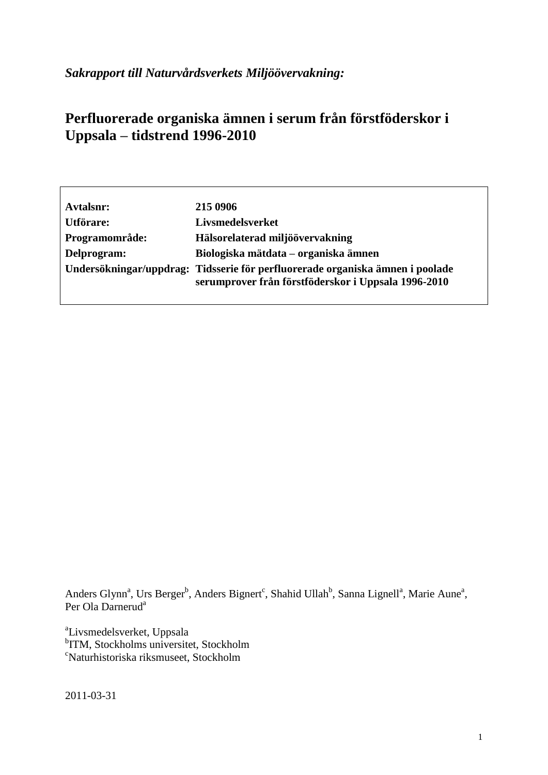*Sakrapport till Naturvårdsverkets Miljöövervakning:*

# **Perfluorerade organiska ämnen i serum från förstföderskor i Uppsala – tidstrend 1996-2010**

| Avtalsnr:      | 215 0906                                                                                                                             |
|----------------|--------------------------------------------------------------------------------------------------------------------------------------|
| Utförare:      | Livsmedelsverket                                                                                                                     |
| Programområde: | Hälsorelaterad miljöövervakning                                                                                                      |
| Delprogram:    | Biologiska mätdata – organiska ämnen                                                                                                 |
|                | Undersökningar/uppdrag: Tidsserie för perfluorerade organiska ämnen i poolade<br>serumprover från förstföderskor i Uppsala 1996-2010 |

Anders Glynn<sup>a</sup>, Urs Berger<sup>b</sup>, Anders Bignert<sup>c</sup>, Shahid Ullah<sup>b</sup>, Sanna Lignell<sup>a</sup>, Marie Aune<sup>a</sup>, Per Ola Darnerud<sup>a</sup>

a Livsmedelsverket, Uppsala b ITM, Stockholms universitet, Stockholm <sup>c</sup>Naturhistoriska riksmuseet, Stockholm

2011-03-31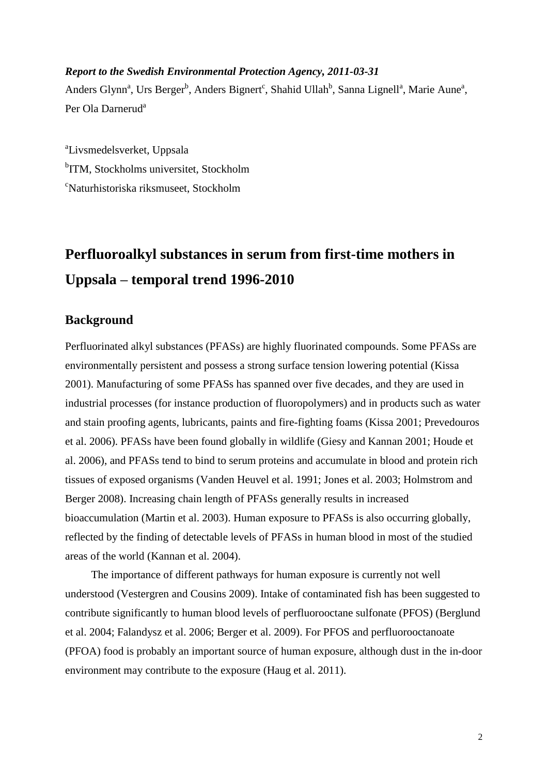## *Report to the Swedish Environmental Protection Agency, 2011-03-31*

Anders Glynn<sup>a</sup>, Urs Berger<sup>b</sup>, Anders Bignert<sup>c</sup>, Shahid Ullah<sup>b</sup>, Sanna Lignell<sup>a</sup>, Marie Aune<sup>a</sup>, Per Ola Darnerud<sup>a</sup>

a Livsmedelsverket, Uppsala <sup>b</sup>ITM, Stockholms universitet, Stockholm <sup>c</sup>Naturhistoriska riksmuseet, Stockholm

# **Perfluoroalkyl substances in serum from first-time mothers in Uppsala – temporal trend 1996-2010**

# **Background**

Perfluorinated alkyl substances (PFASs) are highly fluorinated compounds. Some PFASs are environmentally persistent and possess a strong surface tension lowering potential (Kissa 2001). Manufacturing of some PFASs has spanned over five decades, and they are used in industrial processes (for instance production of fluoropolymers) and in products such as water and stain proofing agents, lubricants, paints and fire-fighting foams (Kissa 2001; Prevedouros et al. 2006). PFASs have been found globally in wildlife (Giesy and Kannan 2001; Houde et al. 2006), and PFASs tend to bind to serum proteins and accumulate in blood and protein rich tissues of exposed organisms (Vanden Heuvel et al. 1991; Jones et al. 2003; Holmstrom and Berger 2008). Increasing chain length of PFASs generally results in increased bioaccumulation (Martin et al. 2003). Human exposure to PFASs is also occurring globally, reflected by the finding of detectable levels of PFASs in human blood in most of the studied areas of the world (Kannan et al. 2004).

The importance of different pathways for human exposure is currently not well understood (Vestergren and Cousins 2009). Intake of contaminated fish has been suggested to contribute significantly to human blood levels of perfluorooctane sulfonate (PFOS) (Berglund et al. 2004; Falandysz et al. 2006; Berger et al. 2009). For PFOS and perfluorooctanoate (PFOA) food is probably an important source of human exposure, although dust in the in-door environment may contribute to the exposure (Haug et al. 2011).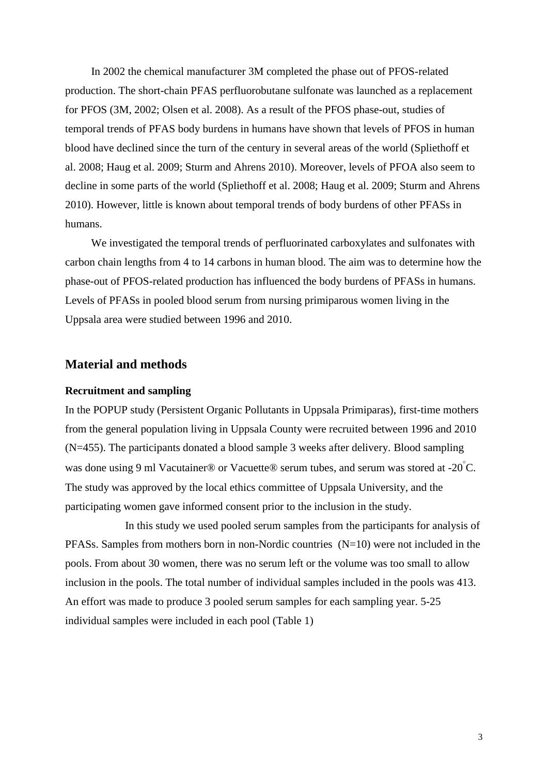In 2002 the chemical manufacturer 3M completed the phase out of PFOS-related production. The short-chain PFAS perfluorobutane sulfonate was launched as a replacement for PFOS (3M, 2002; Olsen et al. 2008). As a result of the PFOS phase-out, studies of temporal trends of PFAS body burdens in humans have shown that levels of PFOS in human blood have declined since the turn of the century in several areas of the world (Spliethoff et al. 2008; Haug et al. 2009; Sturm and Ahrens 2010). Moreover, levels of PFOA also seem to decline in some parts of the world (Spliethoff et al. 2008; Haug et al. 2009; Sturm and Ahrens 2010). However, little is known about temporal trends of body burdens of other PFASs in humans.

We investigated the temporal trends of perfluorinated carboxylates and sulfonates with carbon chain lengths from 4 to 14 carbons in human blood. The aim was to determine how the phase-out of PFOS-related production has influenced the body burdens of PFASs in humans. Levels of PFASs in pooled blood serum from nursing primiparous women living in the Uppsala area were studied between 1996 and 2010.

#### **Material and methods**

#### **Recruitment and sampling**

In the POPUP study (Persistent Organic Pollutants in Uppsala Primiparas), first-time mothers from the general population living in Uppsala County were recruited between 1996 and 2010 (N=455). The participants donated a blood sample 3 weeks after delivery. Blood sampling was done using 9 ml Vacutainer® or Vacuette® serum tubes, and serum was stored at -20 $^{\circ}$ C. The study was approved by the local ethics committee of Uppsala University, and the participating women gave informed consent prior to the inclusion in the study.

In this study we used pooled serum samples from the participants for analysis of PFASs. Samples from mothers born in non-Nordic countries (N=10) were not included in the pools. From about 30 women, there was no serum left or the volume was too small to allow inclusion in the pools. The total number of individual samples included in the pools was 413. An effort was made to produce 3 pooled serum samples for each sampling year. 5-25 individual samples were included in each pool (Table 1)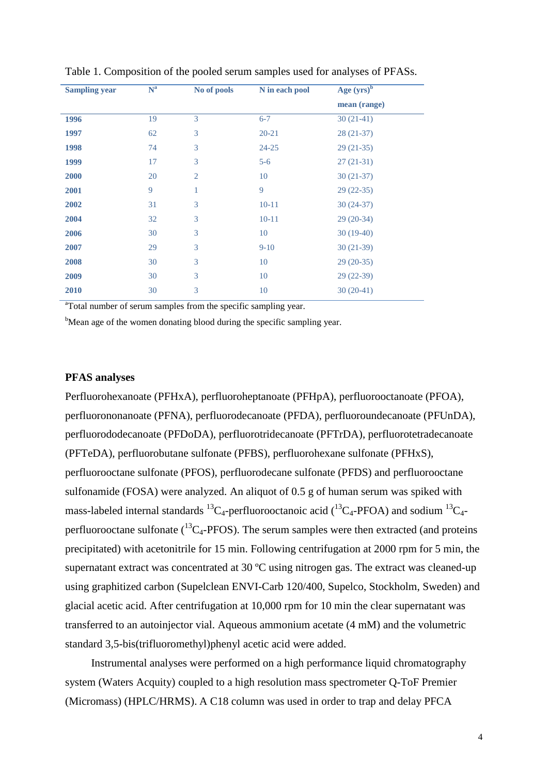| <b>Sampling year</b> | $N^a$ | No of pools    | N in each pool | Age $(yrs)^{\overline{b}}$ |
|----------------------|-------|----------------|----------------|----------------------------|
|                      |       |                |                | mean (range)               |
| 1996                 | 19    | 3              | $6 - 7$        | $30(21-41)$                |
| 1997                 | 62    | 3              | $20 - 21$      | $28(21-37)$                |
| 1998                 | 74    | 3              | $24 - 25$      | $29(21-35)$                |
| 1999                 | 17    | 3              | $5-6$          | $27(21-31)$                |
| 2000                 | 20    | $\overline{2}$ | 10             | $30(21-37)$                |
| 2001                 | 9     | 1              | $\overline{Q}$ | $29(22-35)$                |
| 2002                 | 31    | 3              | $10 - 11$      | $30(24-37)$                |
| 2004                 | 32    | 3              | $10 - 11$      | $29(20-34)$                |
| 2006                 | 30    | 3              | 10             | $30(19-40)$                |
| 2007                 | 29    | 3              | $9-10$         | $30(21-39)$                |
| 2008                 | 30    | 3              | 10             | $29(20-35)$                |
| 2009                 | 30    | 3              | 10             | $29(22-39)$                |
| 2010                 | 30    | 3              | 10             | $30(20-41)$                |

| Table 1. Composition of the pooled serum samples used for analyses of PFASs. |  |  |  |  |  |
|------------------------------------------------------------------------------|--|--|--|--|--|
|------------------------------------------------------------------------------|--|--|--|--|--|

<sup>a</sup>Total number of serum samples from the specific sampling year.

<sup>b</sup>Mean age of the women donating blood during the specific sampling year.

#### **PFAS analyses**

Perfluorohexanoate (PFHxA), perfluoroheptanoate (PFHpA), perfluorooctanoate (PFOA), perfluorononanoate (PFNA), perfluorodecanoate (PFDA), perfluoroundecanoate (PFUnDA), perfluorododecanoate (PFDoDA), perfluorotridecanoate (PFTrDA), perfluorotetradecanoate (PFTeDA), perfluorobutane sulfonate (PFBS), perfluorohexane sulfonate (PFHxS), perfluorooctane sulfonate (PFOS), perfluorodecane sulfonate (PFDS) and perfluorooctane sulfonamide (FOSA) were analyzed. An aliquot of 0.5 g of human serum was spiked with mass-labeled internal standards  ${}^{13}C_4$ -perfluorooctanoic acid ( ${}^{13}C_4$ -PFOA) and sodium  ${}^{13}C_4$ perfluorooctane sulfonate  $(^{13}C_4$ -PFOS). The serum samples were then extracted (and proteins precipitated) with acetonitrile for 15 min. Following centrifugation at 2000 rpm for 5 min, the supernatant extract was concentrated at 30 ºC using nitrogen gas. The extract was cleaned-up using graphitized carbon (Supelclean ENVI-Carb 120/400, Supelco, Stockholm, Sweden) and glacial acetic acid. After centrifugation at 10,000 rpm for 10 min the clear supernatant was transferred to an autoinjector vial. Aqueous ammonium acetate (4 mM) and the volumetric standard 3,5-bis(trifluoromethyl)phenyl acetic acid were added.

Instrumental analyses were performed on a high performance liquid chromatography system (Waters Acquity) coupled to a high resolution mass spectrometer Q-ToF Premier (Micromass) (HPLC/HRMS). A C18 column was used in order to trap and delay PFCA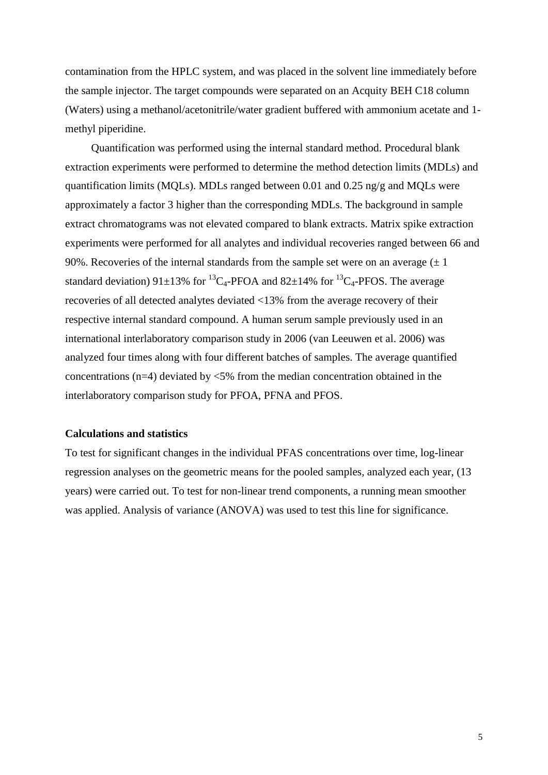contamination from the HPLC system, and was placed in the solvent line immediately before the sample injector. The target compounds were separated on an Acquity BEH C18 column (Waters) using a methanol/acetonitrile/water gradient buffered with ammonium acetate and 1 methyl piperidine.

Quantification was performed using the internal standard method. Procedural blank extraction experiments were performed to determine the method detection limits (MDLs) and quantification limits (MQLs). MDLs ranged between 0.01 and 0.25 ng/g and MQLs were approximately a factor 3 higher than the corresponding MDLs. The background in sample extract chromatograms was not elevated compared to blank extracts. Matrix spike extraction experiments were performed for all analytes and individual recoveries ranged between 66 and 90%. Recoveries of the internal standards from the sample set were on an average  $(\pm 1)$ standard deviation) 91 $\pm$ 13% for <sup>13</sup>C<sub>4</sub>-PFOA and 82 $\pm$ 14% for <sup>13</sup>C<sub>4</sub>-PFOS. The average recoveries of all detected analytes deviated <13% from the average recovery of their respective internal standard compound. A human serum sample previously used in an international interlaboratory comparison study in 2006 (van Leeuwen et al. 2006) was analyzed four times along with four different batches of samples. The average quantified concentrations (n=4) deviated by <5% from the median concentration obtained in the interlaboratory comparison study for PFOA, PFNA and PFOS.

#### **Calculations and statistics**

To test for significant changes in the individual PFAS concentrations over time, log-linear regression analyses on the geometric means for the pooled samples, analyzed each year, (13 years) were carried out. To test for non-linear trend components, a running mean smoother was applied. Analysis of variance (ANOVA) was used to test this line for significance.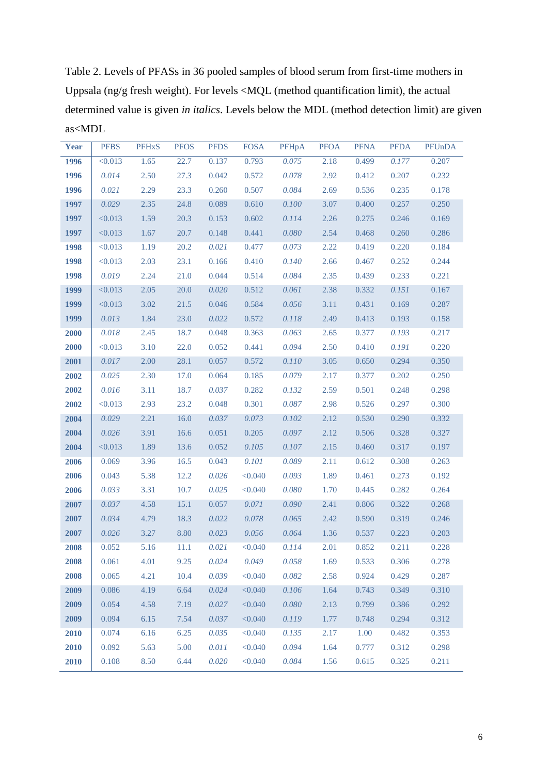Table 2. Levels of PFASs in 36 pooled samples of blood serum from first-time mothers in Uppsala (ng/g fresh weight). For levels <MQL (method quantification limit), the actual determined value is given *in italics*. Levels below the MDL (method detection limit) are given as<MDL

| <b>Year</b> | <b>PFBS</b> | <b>PFHxS</b> | <b>PFOS</b> | <b>PFDS</b> | <b>FOSA</b> | PFHpA     | <b>PFOA</b> | <b>PFNA</b> | <b>PFDA</b> | PFUnDA |
|-------------|-------------|--------------|-------------|-------------|-------------|-----------|-------------|-------------|-------------|--------|
| 1996        | < 0.013     | 1.65         | 22.7        | 0.137       | 0.793       | 0.075     | 2.18        | 0.499       | 0.177       | 0.207  |
| 1996        | 0.014       | 2.50         | 27.3        | 0.042       | 0.572       | 0.078     | 2.92        | 0.412       | 0.207       | 0.232  |
| 1996        | 0.021       | 2.29         | 23.3        | 0.260       | 0.507       | 0.084     | 2.69        | 0.536       | 0.235       | 0.178  |
| 1997        | 0.029       | 2.35         | 24.8        | 0.089       | 0.610       | 0.100     | 3.07        | 0.400       | 0.257       | 0.250  |
| 1997        | < 0.013     | 1.59         | 20.3        | 0.153       | 0.602       | 0.114     | 2.26        | 0.275       | 0.246       | 0.169  |
| 1997        | < 0.013     | 1.67         | 20.7        | 0.148       | 0.441       | 0.080     | 2.54        | 0.468       | 0.260       | 0.286  |
| 1998        | < 0.013     | 1.19         | 20.2        | 0.021       | 0.477       | 0.073     | 2.22        | 0.419       | 0.220       | 0.184  |
| 1998        | < 0.013     | 2.03         | 23.1        | 0.166       | 0.410       | 0.140     | 2.66        | 0.467       | 0.252       | 0.244  |
| 1998        | 0.019       | 2.24         | 21.0        | 0.044       | 0.514       | 0.084     | 2.35        | 0.439       | 0.233       | 0.221  |
| 1999        | < 0.013     | 2.05         | $20.0$      | 0.020       | 0.512       | 0.061     | 2.38        | 0.332       | 0.151       | 0.167  |
| 1999        | < 0.013     | 3.02         | 21.5        | 0.046       | 0.584       | 0.056     | 3.11        | 0.431       | 0.169       | 0.287  |
| 1999        | 0.013       | 1.84         | 23.0        | 0.022       | 0.572       | $0.118\,$ | 2.49        | 0.413       | 0.193       | 0.158  |
| 2000        | 0.018       | 2.45         | 18.7        | 0.048       | 0.363       | 0.063     | 2.65        | 0.377       | 0.193       | 0.217  |
| 2000        | < 0.013     | 3.10         | 22.0        | 0.052       | 0.441       | 0.094     | 2.50        | 0.410       | 0.191       | 0.220  |
| 2001        | 0.017       | 2.00         | 28.1        | 0.057       | 0.572       | 0.110     | 3.05        | 0.650       | 0.294       | 0.350  |
| 2002        | 0.025       | 2.30         | 17.0        | 0.064       | 0.185       | 0.079     | 2.17        | 0.377       | 0.202       | 0.250  |
| 2002        | 0.016       | 3.11         | 18.7        | 0.037       | 0.282       | 0.132     | 2.59        | 0.501       | 0.248       | 0.298  |
| 2002        | < 0.013     | 2.93         | 23.2        | 0.048       | 0.301       | 0.087     | 2.98        | 0.526       | 0.297       | 0.300  |
| 2004        | 0.029       | 2.21         | 16.0        | 0.037       | 0.073       | 0.102     | 2.12        | 0.530       | 0.290       | 0.332  |
| 2004        | 0.026       | 3.91         | 16.6        | 0.051       | 0.205       | 0.097     | 2.12        | 0.506       | 0.328       | 0.327  |
| 2004        | < 0.013     | 1.89         | 13.6        | 0.052       | 0.105       | 0.107     | 2.15        | 0.460       | 0.317       | 0.197  |
| 2006        | 0.069       | 3.96         | 16.5        | 0.043       | 0.101       | 0.089     | 2.11        | 0.612       | 0.308       | 0.263  |
| 2006        | 0.043       | 5.38         | 12.2        | 0.026       | < 0.040     | 0.093     | 1.89        | 0.461       | 0.273       | 0.192  |
| 2006        | 0.033       | 3.31         | 10.7        | 0.025       | < 0.040     | 0.080     | 1.70        | 0.445       | 0.282       | 0.264  |
| 2007        | 0.037       | 4.58         | 15.1        | 0.057       | 0.071       | 0.090     | 2.41        | 0.806       | 0.322       | 0.268  |
| 2007        | 0.034       | 4.79         | 18.3        | 0.022       | 0.078       | 0.065     | 2.42        | 0.590       | 0.319       | 0.246  |
| 2007        | 0.026       | 3.27         | 8.80        | 0.023       | 0.056       | 0.064     | 1.36        | 0.537       | 0.223       | 0.203  |
| 2008        | 0.052       | 5.16         | 11.1        | 0.021       | < 0.040     | 0.114     | 2.01        | 0.852       | 0.211       | 0.228  |
| 2008        | 0.061       | 4.01         | 9.25        | 0.024       | 0.049       | 0.058     | 1.69        | 0.533       | 0.306       | 0.278  |
| 2008        | 0.065       | 4.21         | 10.4        | 0.039       | < 0.040     | 0.082     | 2.58        | 0.924       | 0.429       | 0.287  |
| 2009        | 0.086       | 4.19         | 6.64        | 0.024       | < 0.040     | 0.106     | 1.64        | 0.743       | 0.349       | 0.310  |
| 2009        | 0.054       | 4.58         | 7.19        | 0.027       | < 0.040     | 0.080     | 2.13        | 0.799       | 0.386       | 0.292  |
| 2009        | 0.094       | 6.15         | 7.54        | 0.037       | < 0.040     | 0.119     | 1.77        | 0.748       | 0.294       | 0.312  |
| 2010        | 0.074       | 6.16         | 6.25        | 0.035       | < 0.040     | 0.135     | 2.17        | 1.00        | 0.482       | 0.353  |
| 2010        | 0.092       | 5.63         | 5.00        | 0.011       | < 0.040     | 0.094     | 1.64        | 0.777       | 0.312       | 0.298  |
| 2010        | 0.108       | 8.50         | 6.44        | 0.020       | < 0.040     | 0.084     | 1.56        | 0.615       | 0.325       | 0.211  |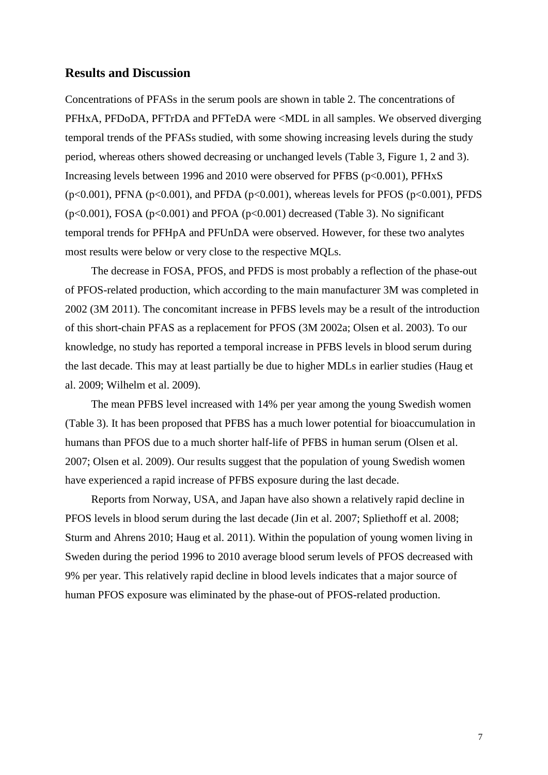## **Results and Discussion**

Concentrations of PFASs in the serum pools are shown in table 2. The concentrations of PFHxA, PFDoDA, PFTrDA and PFTeDA were <MDL in all samples. We observed diverging temporal trends of the PFASs studied, with some showing increasing levels during the study period, whereas others showed decreasing or unchanged levels (Table 3, Figure 1, 2 and 3). Increasing levels between 1996 and 2010 were observed for PFBS (p<0.001), PFHxS ( $p<0.001$ ), PFNA ( $p<0.001$ ), and PFDA ( $p<0.001$ ), whereas levels for PFOS ( $p<0.001$ ), PFDS  $(p<0.001)$ , FOSA  $(p<0.001)$  and PFOA  $(p<0.001)$  decreased (Table 3). No significant temporal trends for PFHpA and PFUnDA were observed. However, for these two analytes most results were below or very close to the respective MQLs.

The decrease in FOSA, PFOS, and PFDS is most probably a reflection of the phase-out of PFOS-related production, which according to the main manufacturer 3M was completed in 2002 (3M 2011). The concomitant increase in PFBS levels may be a result of the introduction of this short-chain PFAS as a replacement for PFOS (3M 2002a; Olsen et al. 2003). To our knowledge, no study has reported a temporal increase in PFBS levels in blood serum during the last decade. This may at least partially be due to higher MDLs in earlier studies (Haug et al. 2009; Wilhelm et al. 2009).

The mean PFBS level increased with 14% per year among the young Swedish women (Table 3). It has been proposed that PFBS has a much lower potential for bioaccumulation in humans than PFOS due to a much shorter half-life of PFBS in human serum (Olsen et al. 2007; Olsen et al. 2009). Our results suggest that the population of young Swedish women have experienced a rapid increase of PFBS exposure during the last decade.

Reports from Norway, USA, and Japan have also shown a relatively rapid decline in PFOS levels in blood serum during the last decade (Jin et al. 2007; Spliethoff et al. 2008; Sturm and Ahrens 2010; Haug et al. 2011). Within the population of young women living in Sweden during the period 1996 to 2010 average blood serum levels of PFOS decreased with 9% per year. This relatively rapid decline in blood levels indicates that a major source of human PFOS exposure was eliminated by the phase-out of PFOS-related production.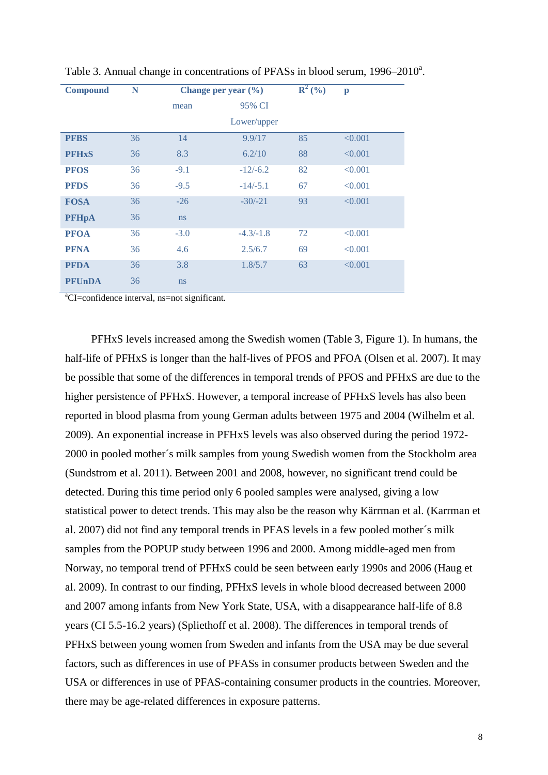| <b>Compound</b> | N  |               | Change per year $(\% )$ | ${\bf R}^{2}$ (%) | $\mathbf{p}$ |
|-----------------|----|---------------|-------------------------|-------------------|--------------|
|                 |    | mean          | 95% CI                  |                   |              |
|                 |    |               | Lower/upper             |                   |              |
| <b>PFBS</b>     | 36 | 14            | 9.9/17                  | 85                | < 0.001      |
| <b>PFHxS</b>    | 36 | 8.3           | 6.2/10                  | 88                | < 0.001      |
| <b>PFOS</b>     | 36 | $-9.1$        | $-12/-6.2$              | 82                | < 0.001      |
| <b>PFDS</b>     | 36 | $-9.5$        | $-14/-5.1$              | 67                | < 0.001      |
| <b>FOSA</b>     | 36 | $-26$         | $-30/-21$               | 93                | < 0.001      |
| <b>PFHpA</b>    | 36 | <sub>ns</sub> |                         |                   |              |
| <b>PFOA</b>     | 36 | $-3.0$        | $-4.3/-1.8$             | 72                | < 0.001      |
| <b>PFNA</b>     | 36 | 4.6           | 2.5/6.7                 | 69                | < 0.001      |
| <b>PFDA</b>     | 36 | 3.8           | 1.8/5.7                 | 63                | < 0.001      |
| <b>PFUnDA</b>   | 36 | <sub>ns</sub> |                         |                   |              |

Table 3. Annual change in concentrations of PFASs in blood serum, 1996–2010<sup>a</sup>.

<sup>a</sup>CI=confidence interval, ns=not significant.

PFHxS levels increased among the Swedish women (Table 3, Figure 1). In humans, the half-life of PFHxS is longer than the half-lives of PFOS and PFOA (Olsen et al. 2007). It may be possible that some of the differences in temporal trends of PFOS and PFHxS are due to the higher persistence of PFHxS. However, a temporal increase of PFHxS levels has also been reported in blood plasma from young German adults between 1975 and 2004 (Wilhelm et al. 2009). An exponential increase in PFHxS levels was also observed during the period 1972- 2000 in pooled mother´s milk samples from young Swedish women from the Stockholm area (Sundstrom et al. 2011). Between 2001 and 2008, however, no significant trend could be detected. During this time period only 6 pooled samples were analysed, giving a low statistical power to detect trends. This may also be the reason why Kärrman et al. (Karrman et al. 2007) did not find any temporal trends in PFAS levels in a few pooled mother´s milk samples from the POPUP study between 1996 and 2000. Among middle-aged men from Norway, no temporal trend of PFHxS could be seen between early 1990s and 2006 (Haug et al. 2009). In contrast to our finding, PFHxS levels in whole blood decreased between 2000 and 2007 among infants from New York State, USA, with a disappearance half-life of 8.8 years (CI 5.5-16.2 years) (Spliethoff et al. 2008). The differences in temporal trends of PFHxS between young women from Sweden and infants from the USA may be due several factors, such as differences in use of PFASs in consumer products between Sweden and the USA or differences in use of PFAS-containing consumer products in the countries. Moreover, there may be age-related differences in exposure patterns.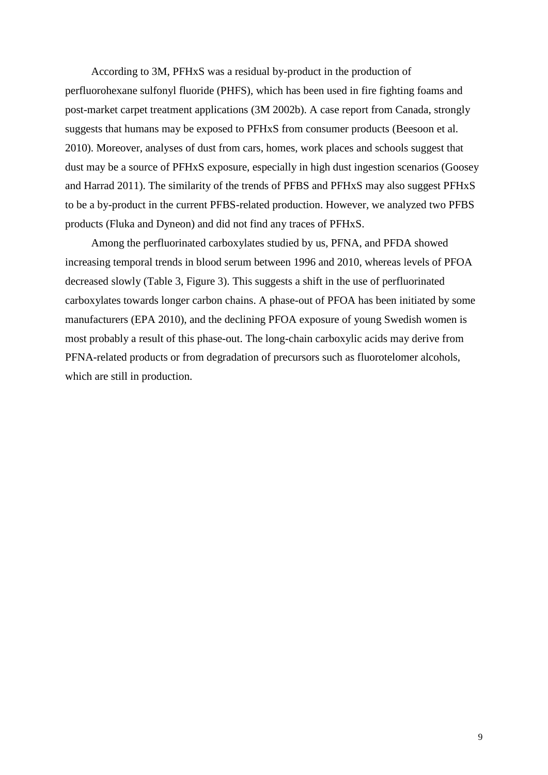According to 3M, PFHxS was a residual by-product in the production of perfluorohexane sulfonyl fluoride (PHFS), which has been used in fire fighting foams and post-market carpet treatment applications (3M 2002b). A case report from Canada, strongly suggests that humans may be exposed to PFHxS from consumer products (Beesoon et al. 2010). Moreover, analyses of dust from cars, homes, work places and schools suggest that dust may be a source of PFHxS exposure, especially in high dust ingestion scenarios (Goosey and Harrad 2011). The similarity of the trends of PFBS and PFHxS may also suggest PFHxS to be a by-product in the current PFBS-related production. However, we analyzed two PFBS products (Fluka and Dyneon) and did not find any traces of PFHxS.

Among the perfluorinated carboxylates studied by us, PFNA, and PFDA showed increasing temporal trends in blood serum between 1996 and 2010, whereas levels of PFOA decreased slowly (Table 3, Figure 3). This suggests a shift in the use of perfluorinated carboxylates towards longer carbon chains. A phase-out of PFOA has been initiated by some manufacturers (EPA 2010), and the declining PFOA exposure of young Swedish women is most probably a result of this phase-out. The long-chain carboxylic acids may derive from PFNA-related products or from degradation of precursors such as fluorotelomer alcohols, which are still in production.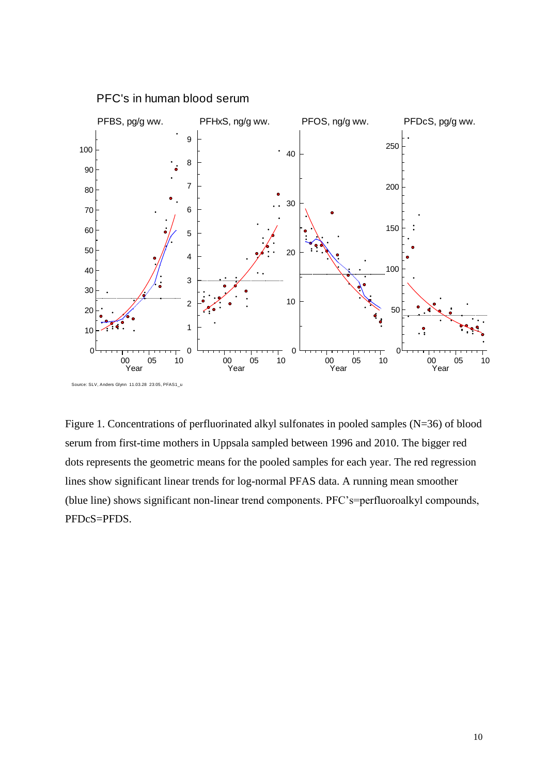

PFC's in human blood serum

Figure 1. Concentrations of perfluorinated alkyl sulfonates in pooled samples (N=36) of blood serum from first-time mothers in Uppsala sampled between 1996 and 2010. The bigger red dots represents the geometric means for the pooled samples for each year. The red regression lines show significant linear trends for log-normal PFAS data. A running mean smoother (blue line) shows significant non-linear trend components. PFC's=perfluoroalkyl compounds, PFDcS=PFDS.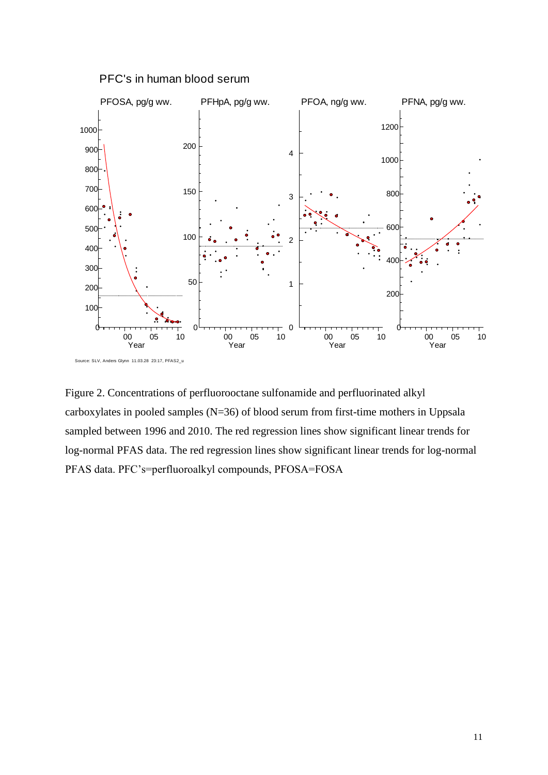

PFC's in human blood serum

Figure 2. Concentrations of perfluorooctane sulfonamide and perfluorinated alkyl carboxylates in pooled samples (N=36) of blood serum from first-time mothers in Uppsala sampled between 1996 and 2010. The red regression lines show significant linear trends for log-normal PFAS data. The red regression lines show significant linear trends for log-normal PFAS data. PFC's=perfluoroalkyl compounds, PFOSA=FOSA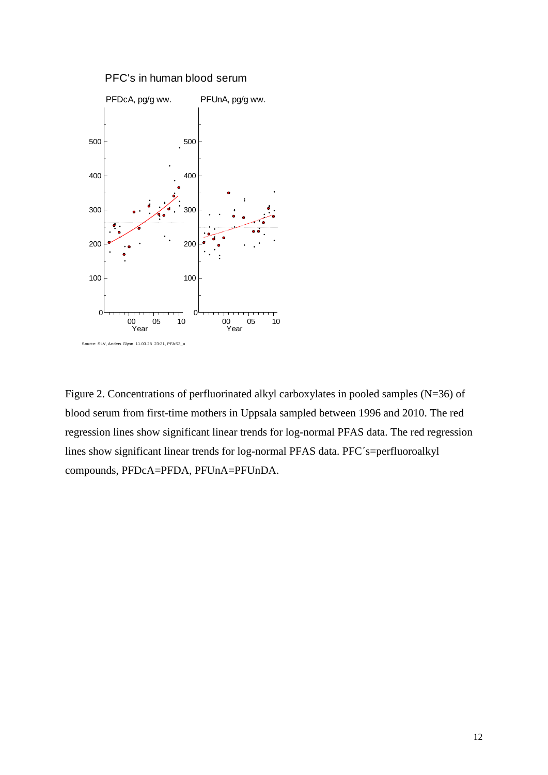

Figure 2. Concentrations of perfluorinated alkyl carboxylates in pooled samples (N=36) of blood serum from first-time mothers in Uppsala sampled between 1996 and 2010. The red regression lines show significant linear trends for log-normal PFAS data. The red regression lines show significant linear trends for log-normal PFAS data. PFC´s=perfluoroalkyl compounds, PFDcA=PFDA, PFUnA=PFUnDA.

#### 12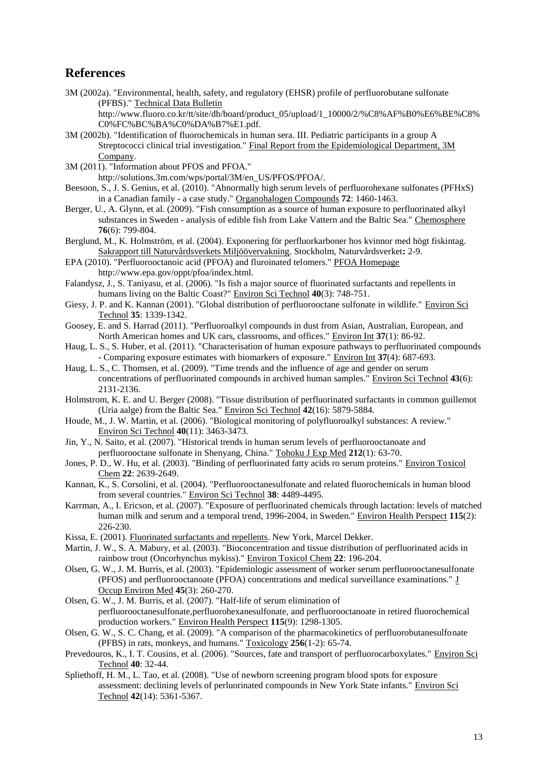# **References**

3M (2002a). "Environmental, health, safety, and regulatory (EHSR) profile of perfluorobutane sulfonate (PFBS)." Technical Data Bulletin

http://www.fluoro.co.kr/tt/site/db/board/product\_05/upload/1\_10000/2/%C8%AF%B0%E6%BE%C8% C0%FC%BC%BA%C0%DA%B7%E1.pdf.

- 3M (2002b). "Identification of fluorochemicals in human sera. III. Pediatric participants in a group A Streptococci clinical trial investigation." Final Report from the Epidemiological Department, 3M Company.
- 3M (2011). "Information about PFOS and PFOA."

http://solutions.3m.com/wps/portal/3M/en\_US/PFOS/PFOA/.

- Beesoon, S., J. S. Genius, et al. (2010). "Abnormally high serum levels of perfluorohexane sulfonates (PFHxS) in a Canadian family - a case study." Organohalogen Compounds **72**: 1460-1463.
- Berger, U., A. Glynn, et al. (2009). "Fish consumption as a source of human exposure to perfluorinated alkyl substances in Sweden - analysis of edible fish from Lake Vattern and the Baltic Sea." Chemosphere **76**(6): 799-804.
- Berglund, M., K. Holmström, et al. (2004). Exponering för perfluorkarboner hos kvinnor med högt fiskintag. Sakrapport till Naturvårdsverkets Miljöövervakning. Stockholm, Naturvårdsverket**:** 2-9.
- EPA (2010). "Perfluorooctanoic acid (PFOA) and fluroinated telomers." PFOA Homepage http://www.epa.gov/oppt/pfoa/index.html.
- Falandysz, J., S. Taniyasu, et al. (2006). "Is fish a major source of fluorinated surfactants and repellents in humans living on the Baltic Coast?" Environ Sci Technol **40**(3): 748-751.
- Giesy, J. P. and K. Kannan (2001). "Global distribution of perfluorooctane sulfonate in wildlife." Environ Sci Technol **35**: 1339-1342.
- Goosey, E. and S. Harrad (2011). "Perfluoroalkyl compounds in dust from Asian, Australian, European, and North American homes and UK cars, classrooms, and offices." Environ Int **37**(1): 86-92.
- Haug, L. S., S. Huber, et al. (2011). "Characterisation of human exposure pathways to perfluorinated compounds - Comparing exposure estimates with biomarkers of exposure." Environ Int **37**(4): 687-693.
- Haug, L. S., C. Thomsen, et al. (2009). "Time trends and the influence of age and gender on serum concentrations of perfluorinated compounds in archived human samples." Environ Sci Technol **43**(6): 2131-2136.
- Holmstrom, K. E. and U. Berger (2008). "Tissue distribution of perfluorinated surfactants in common guillemot (Uria aalge) from the Baltic Sea." Environ Sci Technol **42**(16): 5879-5884.
- Houde, M., J. W. Martin, et al. (2006). "Biological monitoring of polyfluoroalkyl substances: A review." Environ Sci Technol **40**(11): 3463-3473.
- Jin, Y., N. Saito, et al. (2007). "Historical trends in human serum levels of perfluorooctanoate and perfluorooctane sulfonate in Shenyang, China." Tohoku J Exp Med **212**(1): 63-70.
- Jones, P. D., W. Hu, et al. (2003). "Binding of perfluorinated fatty acids ro serum proteins." Environ Toxicol Chem **22**: 2639-2649.
- Kannan, K., S. Corsolini, et al. (2004). "Perfluorooctanesulfonate and related fluorochemicals in human blood from several countries." Environ Sci Technol **38**: 4489-4495.
- Karrman, A., I. Ericson, et al. (2007). "Exposure of perfluorinated chemicals through lactation: levels of matched human milk and serum and a temporal trend, 1996-2004, in Sweden." Environ Health Perspect **115**(2): 226-230.
- Kissa, E. (2001). Fluorinated surfactants and repellents. New York, Marcel Dekker.
- Martin, J. W., S. A. Mabury, et al. (2003). "Bioconcentration and tissue distribution of perfluorinated acids in rainbow trout (Oncorhynchus mykiss)." Environ Toxicol Chem **22**: 196-204.
- Olsen, G. W., J. M. Burris, et al. (2003). "Epidemiologic assessment of worker serum perfluorooctanesulfonate (PFOS) and perfluorooctanoate (PFOA) concentrations and medical surveillance examinations." J Occup Environ Med **45**(3): 260-270.
- Olsen, G. W., J. M. Burris, et al. (2007). "Half-life of serum elimination of perfluorooctanesulfonate,perfluorohexanesulfonate, and perfluorooctanoate in retired fluorochemical production workers." Environ Health Perspect **115**(9): 1298-1305.
- Olsen, G. W., S. C. Chang, et al. (2009). "A comparison of the pharmacokinetics of perfluorobutanesulfonate (PFBS) in rats, monkeys, and humans." Toxicology **256**(1-2): 65-74.
- Prevedouros, K., I. T. Cousins, et al. (2006). "Sources, fate and transport of perfluorocarboxylates." Environ Sci Technol **40**: 32-44.
- Spliethoff, H. M., L. Tao, et al. (2008). "Use of newborn screening program blood spots for exposure assessment: declining levels of perluorinated compounds in New York State infants." Environ Sci Technol **42**(14): 5361-5367.